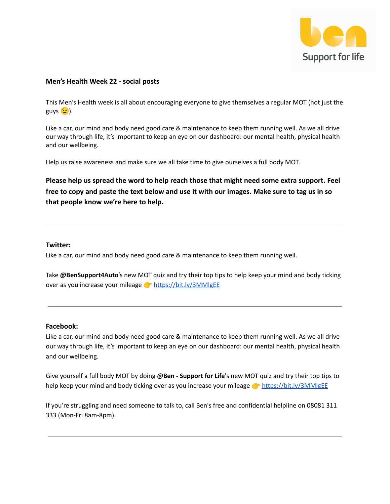

# **Men's Health Week 22 - social posts**

This Men's Health week is all about encouraging everyone to give themselves a regular MOT (not just the  $guys$   $(i)$ .

Like a car, our mind and body need good care & maintenance to keep them running well. As we all drive our way through life, it's important to keep an eye on our dashboard: our mental health, physical health and our wellbeing.

Help us raise awareness and make sure we all take time to give ourselves a full body MOT.

**Please help us spread the word to help reach those that might need some extra support. Feel free to copy and paste the text below and use it with our images. Make sure to tag us in so that people know we're here to help.**

## **Twitter:**

Like a car, our mind and body need good care & maintenance to keep them running well.

Take **@BenSupport4Auto**'s new MOT quiz and try their top tips to help keep your mind and body ticking over as you increase your mileage **That <https://bit.ly/3MMlgEE>** 

#### **Facebook:**

Like a car, our mind and body need good care & maintenance to keep them running well. As we all drive our way through life, it's important to keep an eye on our dashboard: our mental health, physical health and our wellbeing.

Give yourself a full body MOT by doing **@Ben - Support for Life**'s new MOT quiz and try their top tips to help keep your mind and body ticking over as you increase your mileage **that <https://bit.ly/3MMlgEE>** 

If you're struggling and need someone to talk to, call Ben's free and confidential helpline on 08081 311 333 (Mon-Fri 8am-8pm).